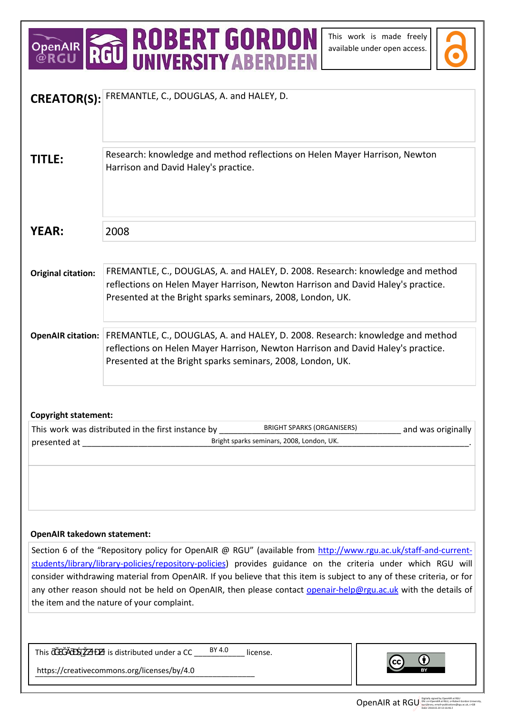## OPENAIR **ROBERT GORDON**<br>@RGU RGU UNIVERSITY ABERDEEN

This work is made freely available under open access.



| <b>CREATOR(S):</b>                                                                                                                                                                                                                     | FREMANTLE, C., DOUGLAS, A. and HALEY, D.                                                                      |
|----------------------------------------------------------------------------------------------------------------------------------------------------------------------------------------------------------------------------------------|---------------------------------------------------------------------------------------------------------------|
|                                                                                                                                                                                                                                        |                                                                                                               |
|                                                                                                                                                                                                                                        |                                                                                                               |
|                                                                                                                                                                                                                                        | Research: knowledge and method reflections on Helen Mayer Harrison, Newton                                    |
| <b>TITLE:</b>                                                                                                                                                                                                                          | Harrison and David Haley's practice.                                                                          |
|                                                                                                                                                                                                                                        |                                                                                                               |
|                                                                                                                                                                                                                                        |                                                                                                               |
|                                                                                                                                                                                                                                        |                                                                                                               |
| <b>YEAR:</b>                                                                                                                                                                                                                           | 2008                                                                                                          |
|                                                                                                                                                                                                                                        |                                                                                                               |
|                                                                                                                                                                                                                                        |                                                                                                               |
| <b>Original citation:</b>                                                                                                                                                                                                              | FREMANTLE, C., DOUGLAS, A. and HALEY, D. 2008. Research: knowledge and method                                 |
|                                                                                                                                                                                                                                        | reflections on Helen Mayer Harrison, Newton Harrison and David Haley's practice.                              |
|                                                                                                                                                                                                                                        | Presented at the Bright sparks seminars, 2008, London, UK.                                                    |
|                                                                                                                                                                                                                                        |                                                                                                               |
|                                                                                                                                                                                                                                        | <b>OpenAIR citation:</b> FREMANTLE, C., DOUGLAS, A. and HALEY, D. 2008. Research: knowledge and method        |
|                                                                                                                                                                                                                                        | reflections on Helen Mayer Harrison, Newton Harrison and David Haley's practice.                              |
|                                                                                                                                                                                                                                        | Presented at the Bright sparks seminars, 2008, London, UK.                                                    |
|                                                                                                                                                                                                                                        |                                                                                                               |
|                                                                                                                                                                                                                                        |                                                                                                               |
| <b>Copyright statement:</b>                                                                                                                                                                                                            |                                                                                                               |
|                                                                                                                                                                                                                                        | <b>BRIGHT SPARKS (ORGANISERS)</b><br>This work was distributed in the first instance by<br>and was originally |
| Bright sparks seminars, 2008, London, UK.<br>presented at                                                                                                                                                                              |                                                                                                               |
|                                                                                                                                                                                                                                        |                                                                                                               |
|                                                                                                                                                                                                                                        |                                                                                                               |
|                                                                                                                                                                                                                                        |                                                                                                               |
|                                                                                                                                                                                                                                        |                                                                                                               |
|                                                                                                                                                                                                                                        |                                                                                                               |
|                                                                                                                                                                                                                                        |                                                                                                               |
| <b>OpenAIR takedown statement:</b>                                                                                                                                                                                                     |                                                                                                               |
| Section 6 of the "Repository policy for OpenAIR @ RGU" (available from http://www.rgu.ac.uk/staff-and-current-                                                                                                                         |                                                                                                               |
| students/library/library-policies/repository-policies) provides guidance on the criteria under which RGU will<br>consider withdrawing material from OpenAIR. If you believe that this item is subject to any of these criteria, or for |                                                                                                               |
| any other reason should not be held on OpenAIR, then please contact openair-help@rgu.ac.uk with the details of                                                                                                                         |                                                                                                               |
| the item and the nature of your complaint.                                                                                                                                                                                             |                                                                                                               |
|                                                                                                                                                                                                                                        |                                                                                                               |
|                                                                                                                                                                                                                                        |                                                                                                               |
|                                                                                                                                                                                                                                        | BY 4.0                                                                                                        |
| This                                                                                                                                                                                                                                   | is distributed under a CC<br>license.                                                                         |
| https://creativecommons.org/licenses/by/4.0                                                                                                                                                                                            |                                                                                                               |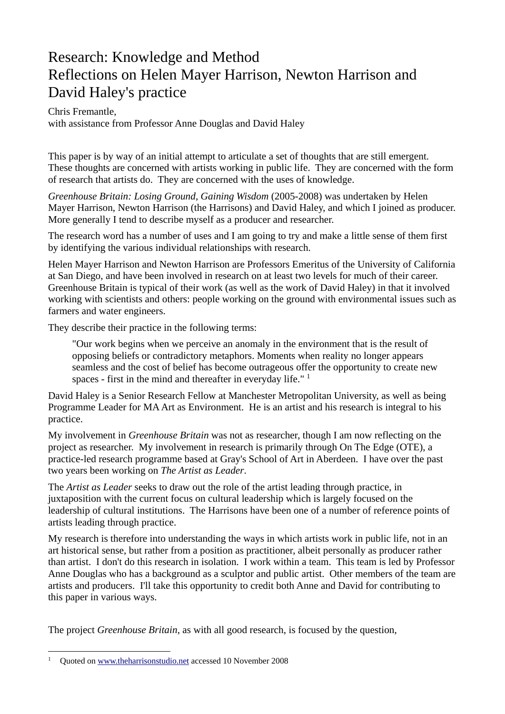## Research: Knowledge and Method Reflections on Helen Mayer Harrison, Newton Harrison and David Haley's practice

Chris Fremantle, with assistance from Professor Anne Douglas and David Haley

This paper is by way of an initial attempt to articulate a set of thoughts that are still emergent. These thoughts are concerned with artists working in public life. They are concerned with the form of research that artists do. They are concerned with the uses of knowledge.

*Greenhouse Britain: Losing Ground, Gaining Wisdom* (2005-2008) was undertaken by Helen Mayer Harrison, Newton Harrison (the Harrisons) and David Haley, and which I joined as producer. More generally I tend to describe myself as a producer and researcher.

The research word has a number of uses and I am going to try and make a little sense of them first by identifying the various individual relationships with research.

Helen Mayer Harrison and Newton Harrison are Professors Emeritus of the University of California at San Diego, and have been involved in research on at least two levels for much of their career. Greenhouse Britain is typical of their work (as well as the work of David Haley) in that it involved working with scientists and others: people working on the ground with environmental issues such as farmers and water engineers.

They describe their practice in the following terms:

"Our work begins when we perceive an anomaly in the environment that is the result of opposing beliefs or contradictory metaphors. Moments when reality no longer appears seamless and the cost of belief has become outrageous offer the opportunity to create new spaces - first in the mind and thereafter in everyday life."  $<sup>1</sup>$ </sup>

David Haley is a Senior Research Fellow at Manchester Metropolitan University, as well as being Programme Leader for MA Art as Environment. He is an artist and his research is integral to his practice.

My involvement in *Greenhouse Britain* was not as researcher, though I am now reflecting on the project as researcher. My involvement in research is primarily through On The Edge (OTE), a practice-led research programme based at Gray's School of Art in Aberdeen. I have over the past two years been working on *The Artist as Leader*.

The *Artist as Leader* seeks to draw out the role of the artist leading through practice, in juxtaposition with the current focus on cultural leadership which is largely focused on the leadership of cultural institutions. The Harrisons have been one of a number of reference points of artists leading through practice.

My research is therefore into understanding the ways in which artists work in public life, not in an art historical sense, but rather from a position as practitioner, albeit personally as producer rather than artist. I don't do this research in isolation. I work within a team. This team is led by Professor Anne Douglas who has a background as a sculptor and public artist. Other members of the team are artists and producers. I'll take this opportunity to credit both Anne and David for contributing to this paper in various ways.

The project *Greenhouse Britain*, as with all good research, is focused by the question,

 $\overline{a}$ 

<sup>1</sup> Quoted on www.theharrisonstudio.net accessed 10 November 2008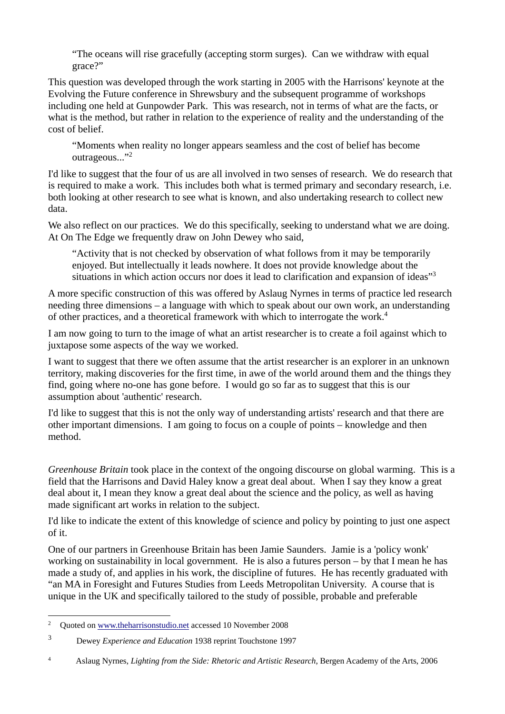"The oceans will rise gracefully (accepting storm surges). Can we withdraw with equal grace?"

This question was developed through the work starting in 2005 with the Harrisons' keynote at the Evolving the Future conference in Shrewsbury and the subsequent programme of workshops including one held at Gunpowder Park. This was research, not in terms of what are the facts, or what is the method, but rather in relation to the experience of reality and the understanding of the cost of belief.

"Moments when reality no longer appears seamless and the cost of belief has become outrageous..."<sup>2</sup>

I'd like to suggest that the four of us are all involved in two senses of research. We do research that is required to make a work. This includes both what is termed primary and secondary research, i.e. both looking at other research to see what is known, and also undertaking research to collect new data.

We also reflect on our practices. We do this specifically, seeking to understand what we are doing. At On The Edge we frequently draw on John Dewey who said,

"Activity that is not checked by observation of what follows from it may be temporarily enjoyed. But intellectually it leads nowhere. It does not provide knowledge about the situations in which action occurs nor does it lead to clarification and expansion of ideas"<sup>3</sup>

A more specific construction of this was offered by Aslaug Nyrnes in terms of practice led research needing three dimensions – a language with which to speak about our own work, an understanding of other practices, and a theoretical framework with which to interrogate the work.4

I am now going to turn to the image of what an artist researcher is to create a foil against which to juxtapose some aspects of the way we worked.

I want to suggest that there we often assume that the artist researcher is an explorer in an unknown territory, making discoveries for the first time, in awe of the world around them and the things they find, going where no-one has gone before. I would go so far as to suggest that this is our assumption about 'authentic' research.

I'd like to suggest that this is not the only way of understanding artists' research and that there are other important dimensions. I am going to focus on a couple of points – knowledge and then method.

*Greenhouse Britain* took place in the context of the ongoing discourse on global warming. This is a field that the Harrisons and David Haley know a great deal about. When I say they know a great deal about it, I mean they know a great deal about the science and the policy, as well as having made significant art works in relation to the subject.

I'd like to indicate the extent of this knowledge of science and policy by pointing to just one aspect of it.

One of our partners in Greenhouse Britain has been Jamie Saunders. Jamie is a 'policy wonk' working on sustainability in local government. He is also a futures person – by that I mean he has made a study of, and applies in his work, the discipline of futures. He has recently graduated with "an MA in Foresight and Futures Studies from Leeds Metropolitan University. A course that is unique in the UK and specifically tailored to the study of possible, probable and preferable

 $\overline{a}$ 2 Quoted on www.theharrisonstudio.net accessed 10 November 2008

<sup>3</sup> Dewey *Experience and Education* 1938 reprint Touchstone 1997

<sup>4</sup> Aslaug Nyrnes, *Lighting from the Side: Rhetoric and Artistic Research*, Bergen Academy of the Arts, 2006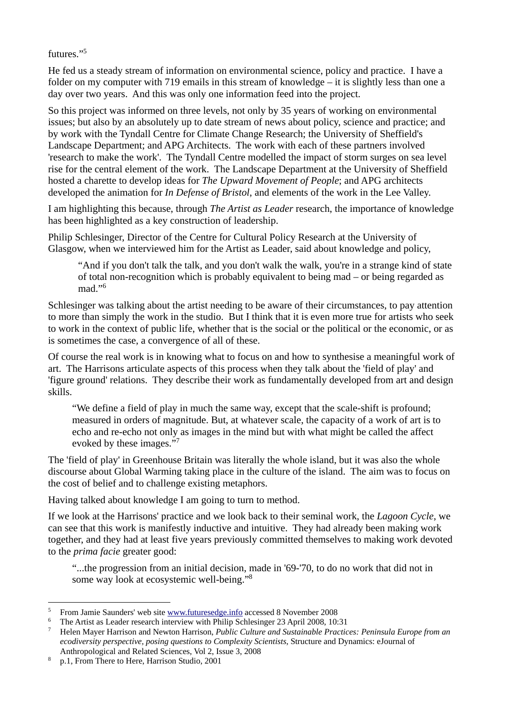futures<sup>"5</sup>

He fed us a steady stream of information on environmental science, policy and practice. I have a folder on my computer with 719 emails in this stream of knowledge – it is slightly less than one a day over two years. And this was only one information feed into the project.

So this project was informed on three levels, not only by 35 years of working on environmental issues; but also by an absolutely up to date stream of news about policy, science and practice; and by work with the Tyndall Centre for Climate Change Research; the University of Sheffield's Landscape Department; and APG Architects. The work with each of these partners involved 'research to make the work'. The Tyndall Centre modelled the impact of storm surges on sea level rise for the central element of the work. The Landscape Department at the University of Sheffield hosted a charette to develop ideas for *The Upward Movement of People*; and APG architects developed the animation for *In Defense of Bristol*, and elements of the work in the Lee Valley.

I am highlighting this because, through *The Artist as Leader* research, the importance of knowledge has been highlighted as a key construction of leadership.

Philip Schlesinger, Director of the Centre for Cultural Policy Research at the University of Glasgow, when we interviewed him for the Artist as Leader, said about knowledge and policy,

"And if you don't talk the talk, and you don't walk the walk, you're in a strange kind of state of total non-recognition which is probably equivalent to being mad – or being regarded as mad $"$ <sup>6</sup>

Schlesinger was talking about the artist needing to be aware of their circumstances, to pay attention to more than simply the work in the studio. But I think that it is even more true for artists who seek to work in the context of public life, whether that is the social or the political or the economic, or as is sometimes the case, a convergence of all of these.

Of course the real work is in knowing what to focus on and how to synthesise a meaningful work of art. The Harrisons articulate aspects of this process when they talk about the 'field of play' and 'figure ground' relations. They describe their work as fundamentally developed from art and design skills.

"We define a field of play in much the same way, except that the scale-shift is profound; measured in orders of magnitude. But, at whatever scale, the capacity of a work of art is to echo and re-echo not only as images in the mind but with what might be called the affect evoked by these images."7

The 'field of play' in Greenhouse Britain was literally the whole island, but it was also the whole discourse about Global Warming taking place in the culture of the island. The aim was to focus on the cost of belief and to challenge existing metaphors.

Having talked about knowledge I am going to turn to method.

If we look at the Harrisons' practice and we look back to their seminal work, the *Lagoon Cycle*, we can see that this work is manifestly inductive and intuitive. They had already been making work together, and they had at least five years previously committed themselves to making work devoted to the *prima facie* greater good:

"...the progression from an initial decision, made in '69-'70, to do no work that did not in some way look at ecosystemic well-being."<sup>8</sup>

 $\overline{a}$ <sup>5</sup> From Jamie Saunders' web site <u>www.futuresedge.info</u> accessed 8 November 2008<br><sup>6</sup> The Artist as Leader research interview with Philip Schlesinger 23 April 2008, 10:

<sup>&</sup>lt;sup>6</sup> The Artist as Leader research interview with Philip Schlesinger 23 April 2008, 10:31

Helen Mayer Harrison and Newton Harrison, *Public Culture and Sustainable Practices: Peninsula Europe from an ecodiversity perspective, posing questions to Complexity Scientists*, Structure and Dynamics: eJournal of Anthropological and Related Sciences, Vol 2, Issue 3, 2008<br><sup>8</sup>  $\frac{1}{2}$  From There to Here Harrison Studio 2001

p.1, From There to Here, Harrison Studio, 2001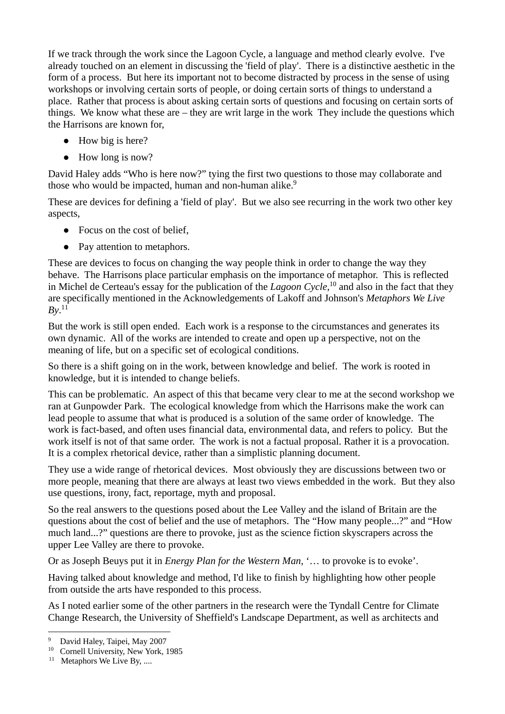If we track through the work since the Lagoon Cycle, a language and method clearly evolve. I've already touched on an element in discussing the 'field of play'. There is a distinctive aesthetic in the form of a process. But here its important not to become distracted by process in the sense of using workshops or involving certain sorts of people, or doing certain sorts of things to understand a place. Rather that process is about asking certain sorts of questions and focusing on certain sorts of things. We know what these are – they are writ large in the work They include the questions which the Harrisons are known for,

- How big is here?
- How long is now?

David Haley adds "Who is here now?" tying the first two questions to those may collaborate and those who would be impacted, human and non-human alike.<sup>9</sup>

These are devices for defining a 'field of play'. But we also see recurring in the work two other key aspects,

- Focus on the cost of belief.
- Pay attention to metaphors.

These are devices to focus on changing the way people think in order to change the way they behave. The Harrisons place particular emphasis on the importance of metaphor. This is reflected in Michel de Certeau's essay for the publication of the *Lagoon Cycle*, 10 and also in the fact that they are specifically mentioned in the Acknowledgements of Lakoff and Johnson's *Metaphors We Live*   $By.$ <sup>11</sup>

But the work is still open ended. Each work is a response to the circumstances and generates its own dynamic. All of the works are intended to create and open up a perspective, not on the meaning of life, but on a specific set of ecological conditions.

So there is a shift going on in the work, between knowledge and belief. The work is rooted in knowledge, but it is intended to change beliefs.

This can be problematic. An aspect of this that became very clear to me at the second workshop we ran at Gunpowder Park. The ecological knowledge from which the Harrisons make the work can lead people to assume that what is produced is a solution of the same order of knowledge. The work is fact-based, and often uses financial data, environmental data, and refers to policy. But the work itself is not of that same order. The work is not a factual proposal. Rather it is a provocation. It is a complex rhetorical device, rather than a simplistic planning document.

They use a wide range of rhetorical devices. Most obviously they are discussions between two or more people, meaning that there are always at least two views embedded in the work. But they also use questions, irony, fact, reportage, myth and proposal.

So the real answers to the questions posed about the Lee Valley and the island of Britain are the questions about the cost of belief and the use of metaphors. The "How many people...?" and "How much land...?" questions are there to provoke, just as the science fiction skyscrapers across the upper Lee Valley are there to provoke.

Or as Joseph Beuys put it in *Energy Plan for the Western Man*, '… to provoke is to evoke'.

Having talked about knowledge and method, I'd like to finish by highlighting how other people from outside the arts have responded to this process.

As I noted earlier some of the other partners in the research were the Tyndall Centre for Climate Change Research, the University of Sheffield's Landscape Department, as well as architects and

 $\overline{a}$ <sup>9</sup> David Haley, Taipei, May 2007

<sup>&</sup>lt;sup>10</sup> Cornell University, New York, 1985

<sup>&</sup>lt;sup>11</sup> Metaphors We Live By, ....